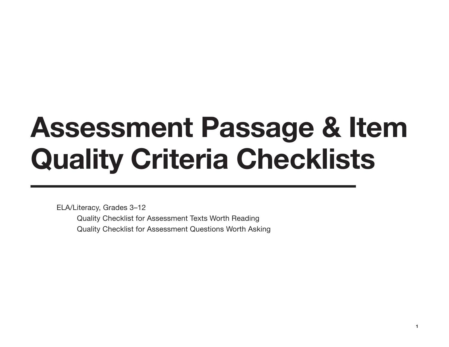# **Assessment Passage & Item Quality Criteria Checklists**

ELA/Literacy, Grades 3–12 Quality Checklist for Assessment Texts Worth Reading Quality Checklist for Assessment Questions Worth Asking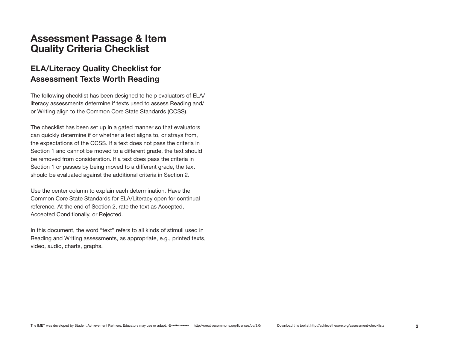#### **Assessment Passage & Item Quality Criteria Checklist**

#### **ELA/Literacy Quality Checklist for Assessment Texts Worth Reading**

The following checklist has been designed to help evaluators of ELA/ literacy assessments determine if texts used to assess Reading and/ or Writing align to the Common Core State Standards (CCSS).

The checklist has been set up in a gated manner so that evaluators can quickly determine if or whether a text aligns to, or strays from, the expectations of the CCSS. If a text does not pass the criteria in Section 1 and cannot be moved to a different grade, the text should be removed from consideration. If a text does pass the criteria in Section 1 or passes by being moved to a different grade, the text should be evaluated against the additional criteria in Section 2.

Use the center column to explain each determination. Have the Common Core State Standards for ELA/Literacy open for continual reference. At the end of Section 2, rate the text as Accepted, Accepted Conditionally, or Rejected.

In this document, the word "text" refers to all kinds of stimuli used in Reading and Writing assessments, as appropriate, e.g., printed texts, video, audio, charts, graphs.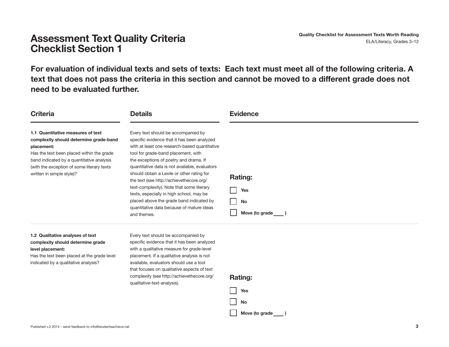## **Assessment Text Quality Criteria Criteria and Consecting Checklist for Assessment Texts Worth Reading Conserver CLA/Literacy, Grades 3–12 Checklist Section 1**

**For evaluation of individual texts and sets of texts: Each text must meet all of the following criteria. A text that does not pass the criteria in this section and cannot be moved to a different grade does not need to be evaluated further.**

| <b>Criteria</b>                                                                                                                                                                                                                                                 | <b>Details</b>                                                                                                                                                                                                                                                                                                                                                                                                                                                                                                                                                    | <b>Evidence</b>                                             |
|-----------------------------------------------------------------------------------------------------------------------------------------------------------------------------------------------------------------------------------------------------------------|-------------------------------------------------------------------------------------------------------------------------------------------------------------------------------------------------------------------------------------------------------------------------------------------------------------------------------------------------------------------------------------------------------------------------------------------------------------------------------------------------------------------------------------------------------------------|-------------------------------------------------------------|
| 1.1 Quantitative measures of text<br>complexity should determine grade-band<br>placement:<br>Has the text been placed within the grade<br>band indicated by a quantitative analysis<br>(with the exception of some literary texts)<br>written in simple style)? | Every text should be accompanied by<br>specific evidence that it has been analyzed<br>with at least one research-based quantitative<br>tool for grade-band placement, with<br>the exceptions of poetry and drama. If<br>quantitative data is not available, evaluators<br>should obtain a Lexile or other rating for<br>the text (see http://achievethecore.org/<br>text-complexity). Note that some literary<br>texts, especially in high school, may be<br>placed above the grade band indicated by<br>quantitative data because of mature ideas<br>and themes. | <b>Rating:</b><br><b>Yes</b><br><b>No</b><br>Move (to grade |
| 1.2 Qualitative analyses of text                                                                                                                                                                                                                                | Every text should be accompanied by                                                                                                                                                                                                                                                                                                                                                                                                                                                                                                                               |                                                             |

#### **complexity should determine grade level placement:**

Has the text been placed at the grade level indicated by a qualitative analysis?

specific evidence that it has been analyzed with a qualitative measure for grade-level placement. If a qualitative analysis is not available, evaluators should use a tool that focuses on qualitative aspects of text complexity (see http://achievethecore.org/ qualitative-text-analysis).

| d<br> | ιτιη≀ | ı |
|-------|-------|---|

| Yes            |  |
|----------------|--|
| No             |  |
| Move (to grade |  |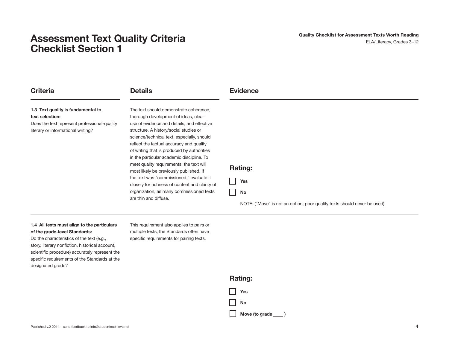## **Assessment Text Quality Criteria and the control of the Checklist for Assessment Texts Worth Reading <b>Assessment Texts Worth Reading Checklist Section 1**

| <b>Criteria</b>                                                                                                                             | <b>Details</b>                                                                                                                                                                                                                                                                                                                                                                                                                                                                                                                                                                                                        | <b>Evidence</b>                                                                                                |
|---------------------------------------------------------------------------------------------------------------------------------------------|-----------------------------------------------------------------------------------------------------------------------------------------------------------------------------------------------------------------------------------------------------------------------------------------------------------------------------------------------------------------------------------------------------------------------------------------------------------------------------------------------------------------------------------------------------------------------------------------------------------------------|----------------------------------------------------------------------------------------------------------------|
| 1.3 Text quality is fundamental to<br>text selection:<br>Does the text represent professional-quality<br>literary or informational writing? | The text should demonstrate coherence,<br>thorough development of ideas, clear<br>use of evidence and details, and effective<br>structure. A history/social studies or<br>science/technical text, especially, should<br>reflect the factual accuracy and quality<br>of writing that is produced by authorities<br>in the particular academic discipline. To<br>meet quality requirements, the text will<br>most likely be previously published. If<br>the text was "commissioned," evaluate it<br>closely for richness of content and clarity of<br>organization, as many commissioned texts<br>are thin and diffuse. | <b>Rating:</b><br><b>Yes</b><br>No<br>NOTE: ("Move" is not an option; poor quality texts should never be used) |

#### **1.4 All texts must align to the particulars of the grade-level Standards:**

Do the characteristics of the text (e.g., story, literary nonfiction, historical account, scientific procedure) accurately represent the specific requirements of the Standards at the designated grade?

This requirement also applies to pairs or multiple texts; the Standards often have specific requirements for pairing texts.

| <b>Rating:</b> |                |  |
|----------------|----------------|--|
|                | Yes            |  |
|                | <b>No</b>      |  |
|                | Move (to grade |  |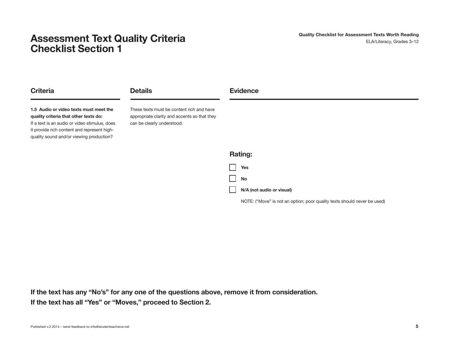## **Assessment Text Quality Criteria and the control of the Checklist for Assessment Texts Worth Reading (NSSESS MELA/Literacy, Grades 3–12) Checklist Section 1**

| <b>Criteria</b>                                                                                                                                                                                                             | <b>Details</b>                                                                                                          | <b>Evidence</b>           |
|-----------------------------------------------------------------------------------------------------------------------------------------------------------------------------------------------------------------------------|-------------------------------------------------------------------------------------------------------------------------|---------------------------|
| 1.5 Audio or video texts must meet the<br>quality criteria that other texts do:<br>If a text is an audio or video stimulus, does<br>it provide rich content and represent high-<br>quality sound and/or viewing production? | These texts must be content rich and have<br>appropriate clarity and accents so that they<br>can be clearly understood. |                           |
|                                                                                                                                                                                                                             |                                                                                                                         | <b>Rating:</b>            |
|                                                                                                                                                                                                                             |                                                                                                                         | <b>Yes</b>                |
|                                                                                                                                                                                                                             |                                                                                                                         | <b>No</b>                 |
|                                                                                                                                                                                                                             |                                                                                                                         | N/A (not audio or visual) |

NOTE: ("Move" is not an option; poor quality texts should never be used)

**If the text has any "No's" for any one of the questions above, remove it from consideration. If the text has all "Yes" or "Moves," proceed to Section 2.**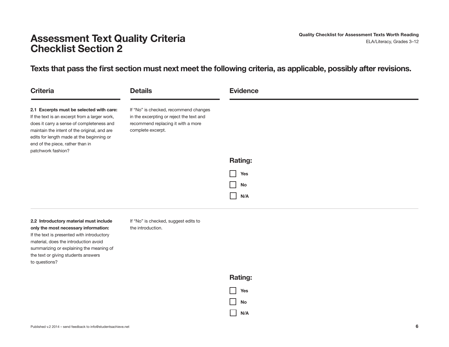## **Assessment Text Quality Criteria and Consecutive Checklist for Assessment Texts Worth Reading ELA/Literacy, Grades 3–12 Checklist Section 2**

**Texts that pass the first section must next meet the following criteria, as applicable, possibly after revisions.** 

| <b>Criteria</b>                                                                                                                                                                                                                                                                               | <b>Details</b>                                                                                                                               | <b>Evidence</b> |
|-----------------------------------------------------------------------------------------------------------------------------------------------------------------------------------------------------------------------------------------------------------------------------------------------|----------------------------------------------------------------------------------------------------------------------------------------------|-----------------|
| 2.1 Excerpts must be selected with care:<br>If the text is an excerpt from a larger work,<br>does it carry a sense of completeness and<br>maintain the intent of the original, and are<br>edits for length made at the beginning or<br>end of the piece, rather than in<br>patchwork fashion? | If "No" is checked, recommend changes<br>in the excerpting or reject the text and<br>recommend replacing it with a more<br>complete excerpt. |                 |
|                                                                                                                                                                                                                                                                                               |                                                                                                                                              | <b>Rating:</b>  |
|                                                                                                                                                                                                                                                                                               |                                                                                                                                              | Yes             |
|                                                                                                                                                                                                                                                                                               |                                                                                                                                              | No              |
|                                                                                                                                                                                                                                                                                               |                                                                                                                                              | N/A             |

**2.2 Introductory material must include only the most necessary information:** If the text is presented with introductory material, does the introduction avoid summarizing or explaining the meaning of the text or giving students answers to questions?

If "No" is checked, suggest edits to the introduction.



**N/A**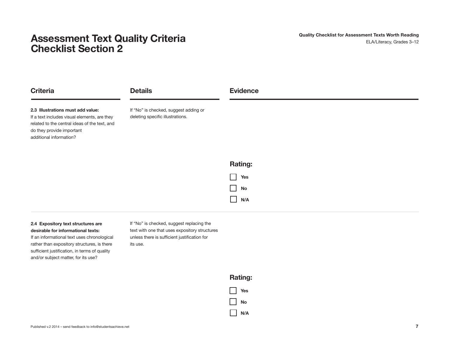## **Assessment Text Quality Criteria and the control of the Checklist for Assessment Texts Worth Reading <b>Assessment Texts Worth Reading Checklist Section 2**

| <b>Criteria</b>                                                                                                                                                                            | <b>Details</b>                                                            | <b>Evidence</b> |
|--------------------------------------------------------------------------------------------------------------------------------------------------------------------------------------------|---------------------------------------------------------------------------|-----------------|
| 2.3 Illustrations must add value:<br>If a text includes visual elements, are they<br>related to the central ideas of the text, and<br>do they provide important<br>additional information? | If "No" is checked, suggest adding or<br>deleting specific illustrations. |                 |
|                                                                                                                                                                                            |                                                                           | <b>Rating:</b>  |
|                                                                                                                                                                                            |                                                                           | Yes             |
|                                                                                                                                                                                            |                                                                           | No<br>- 1       |
|                                                                                                                                                                                            |                                                                           | N/A             |

#### **2.4 Expository text structures are desirable for informational texts:**

If an informational text uses chronological rather than expository structures, is there sufficient justification, in terms of quality and/or subject matter, for its use?

If "No" is checked, suggest replacing the text with one that uses expository structures unless there is sufficient justification for its use.

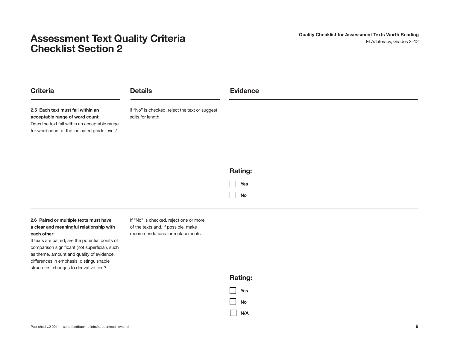## **Assessment Text Quality Criteria and the control of the Checklist for Assessment Texts Worth Reading (NSSESS MELA/Literacy, Grades 3–12) Checklist Section 2**

| <b>Criteria</b>                                                                                                                                                       | <b>Details</b>                                                      | <b>Evidence</b> |
|-----------------------------------------------------------------------------------------------------------------------------------------------------------------------|---------------------------------------------------------------------|-----------------|
| 2.5 Each text must fall within an<br>acceptable range of word count:<br>Does the text fall within an acceptable range<br>for word count at the indicated grade level? | If "No" is checked, reject the text or suggest<br>edits for length. |                 |
|                                                                                                                                                                       |                                                                     | <b>Rating:</b>  |
|                                                                                                                                                                       |                                                                     | Yes             |
|                                                                                                                                                                       |                                                                     | <b>No</b>       |

**2.6 Paired or multiple texts must have a clear and meaningful relationship with each other:**

If texts are paired, are the potential points of comparison significant (not superficial), such as theme, amount and quality of evidence, differences in emphasis, distinguishable structures, changes to derivative text?

If "No" is checked, reject one or more of the texts and, if possible, make recommendations for replacements.

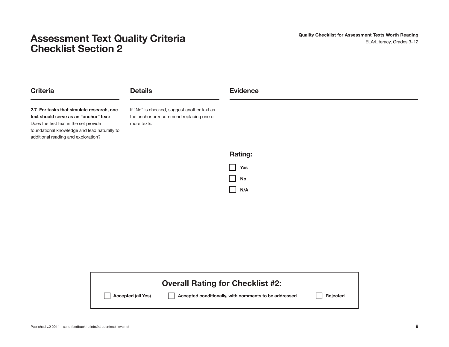## **Assessment Text Quality Criteria and the control of the Checklist for Assessment Texts Worth Reading <b>Assessment Texts Worth Reading Checklist Section 2**

| <b>Criteria</b>                                                                                                                                                                                                      | <b>Details</b>                                                                                         | <b>Evidence</b> |
|----------------------------------------------------------------------------------------------------------------------------------------------------------------------------------------------------------------------|--------------------------------------------------------------------------------------------------------|-----------------|
| 2.7 For tasks that simulate research, one<br>text should serve as an "anchor" text:<br>Does the first text in the set provide<br>foundational knowledge and lead naturally to<br>additional reading and exploration? | If "No" is checked, suggest another text as<br>the anchor or recommend replacing one or<br>more texts. |                 |
|                                                                                                                                                                                                                      |                                                                                                        | <b>Rating:</b>  |
|                                                                                                                                                                                                                      |                                                                                                        | <b>Yes</b>      |
|                                                                                                                                                                                                                      |                                                                                                        | No              |
|                                                                                                                                                                                                                      |                                                                                                        | N/A             |

|                    | <b>Overall Rating for Checklist #2:</b>               |          |
|--------------------|-------------------------------------------------------|----------|
| Accepted (all Yes) | Accepted conditionally, with comments to be addressed | Rejected |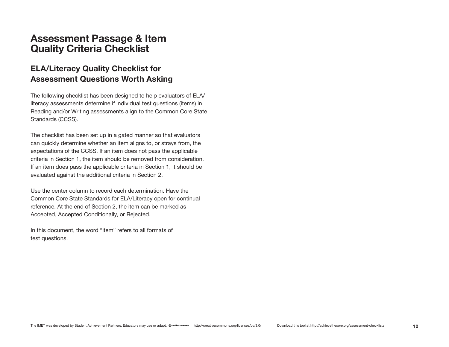#### **Assessment Passage & Item Quality Criteria Checklist**

#### **ELA/Literacy Quality Checklist for Assessment Questions Worth Asking**

The following checklist has been designed to help evaluators of ELA/ literacy assessments determine if individual test questions (items) in Reading and/or Writing assessments align to the Common Core State Standards (CCSS).

The checklist has been set up in a gated manner so that evaluators can quickly determine whether an item aligns to, or strays from, the expectations of the CCSS. If an item does not pass the applicable criteria in Section 1, the item should be removed from consideration. If an item does pass the applicable criteria in Section 1, it should be evaluated against the additional criteria in Section 2.

Use the center column to record each determination. Have the Common Core State Standards for ELA/Literacy open for continual reference. At the end of Section 2, the item can be marked as Accepted, Accepted Conditionally, or Rejected.

In this document, the word "item" refers to all formats of test questions.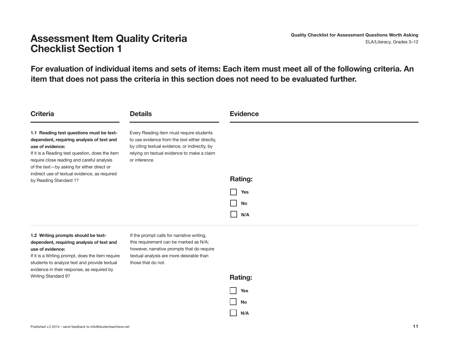**For evaluation of individual items and sets of items: Each item must meet all of the following criteria. An item that does not pass the criteria in this section does not need to be evaluated further.**

| <b>Criteria</b>                                                                                                                                                                                                                                                                                                                     | <b>Details</b>                                                                                                                                                                                              | <b>Evidence</b>         |
|-------------------------------------------------------------------------------------------------------------------------------------------------------------------------------------------------------------------------------------------------------------------------------------------------------------------------------------|-------------------------------------------------------------------------------------------------------------------------------------------------------------------------------------------------------------|-------------------------|
| 1.1 Reading test questions must be text-<br>dependent, requiring analysis of text and<br>use of evidence:<br>If it is a Reading test question, does the item<br>require close reading and careful analysis<br>of the text-by asking for either direct or<br>indirect use of textual evidence, as required<br>by Reading Standard 1? | Every Reading item must require students<br>to use evidence from the text either directly,<br>by citing textual evidence, or indirectly, by<br>relying on textual evidence to make a claim<br>or inference. | <b>Rating:</b>          |
|                                                                                                                                                                                                                                                                                                                                     |                                                                                                                                                                                                             | <b>Yes</b><br>No<br>N/A |

#### **1.2 Writing prompts should be textdependent, requiring analysis of text and use of evidence:**

If it is a Writing prompt, does the item require students to analyze text and provide textual evidence in their response, as required by Writing Standard 9?

If the prompt calls for narrative writing, this requirement can be marked as N/A; however, narrative prompts that do require textual analysis are more desirable than those that do not.

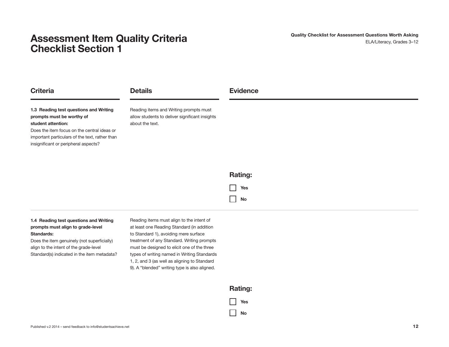| <b>Criteria</b>                                                                                                                                                                                                                    | <b>Details</b>                                                                                              | <b>Evidence</b>      |
|------------------------------------------------------------------------------------------------------------------------------------------------------------------------------------------------------------------------------------|-------------------------------------------------------------------------------------------------------------|----------------------|
| 1.3 Reading test questions and Writing<br>prompts must be worthy of<br>student attention:<br>Does the item focus on the central ideas or<br>important particulars of the text, rather than<br>insignificant or peripheral aspects? | Reading items and Writing prompts must<br>allow students to deliver significant insights<br>about the text. |                      |
|                                                                                                                                                                                                                                    |                                                                                                             | <b>Rating:</b>       |
|                                                                                                                                                                                                                                    |                                                                                                             | Yes<br>$\mathcal{L}$ |
|                                                                                                                                                                                                                                    |                                                                                                             | No                   |

#### **1.4 Reading test questions and Writing prompts must align to grade-level Standards:**

Does the item genuinely (not superficially) align to the intent of the grade-level Standard(s) indicated in the item metadata? Reading items must align to the intent of at least one Reading Standard (in addition to Standard 1), avoiding mere surface treatment of any Standard. Writing prompts must be designed to elicit one of the three types of writing named in Writing Standards 1, 2, and 3 (as well as aligning to Standard 9). A "blended" writing type is also aligned.

#### **Rating:**

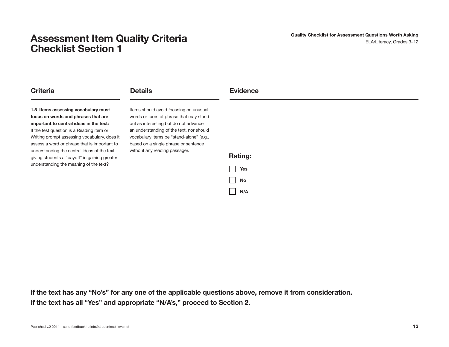**Criteria Details**

**1.5 Items assessing vocabulary must focus on words and phrases that are important to central ideas in the text:** If the test question is a Reading item or Writing prompt assessing vocabulary, does it assess a word or phrase that is important to understanding the central ideas of the text, giving students a "payoff" in gaining greater understanding the meaning of the text?

Items should avoid focusing on unusual words or turns of phrase that may stand out as interesting but do not advance an understanding of the text, nor should vocabulary items be "stand-alone" (e.g., based on a single phrase or sentence without any reading passage).



**Evidence**

**If the text has any "No's" for any one of the applicable questions above, remove it from consideration. If the text has all "Yes" and appropriate "N/A's," proceed to Section 2.**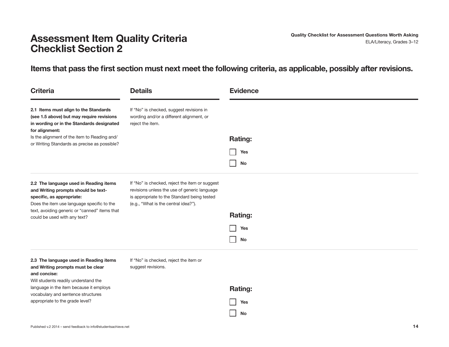#### **Items that pass the first section must next meet the following criteria, as applicable, possibly after revisions.**

| <b>Criteria</b>                                                                                                                                          | <b>Details</b>                                                                                                                                                                        | <b>Evidence</b> |
|----------------------------------------------------------------------------------------------------------------------------------------------------------|---------------------------------------------------------------------------------------------------------------------------------------------------------------------------------------|-----------------|
| 2.1 Items must align to the Standards<br>(see 1.5 above) but may require revisions<br>in wording or in the Standards designated<br>for alignment:        | If "No" is checked, suggest revisions in<br>wording and/or a different alignment, or<br>reject the item.                                                                              |                 |
| Is the alignment of the item to Reading and/                                                                                                             |                                                                                                                                                                                       | <b>Rating:</b>  |
| or Writing Standards as precise as possible?                                                                                                             |                                                                                                                                                                                       | Yes             |
|                                                                                                                                                          |                                                                                                                                                                                       | No              |
| 2.2 The language used in Reading items<br>and Writing prompts should be text-<br>specific, as appropriate:<br>Does the item use language specific to the | If "No" is checked, reject the item or suggest<br>revisions unless the use of generic language<br>is appropriate to the Standard being tested<br>(e.g., "What is the central idea?"). |                 |
| text, avoiding generic or "canned" items that<br>could be used with any text?                                                                            |                                                                                                                                                                                       | <b>Rating:</b>  |
|                                                                                                                                                          |                                                                                                                                                                                       | Yes             |
|                                                                                                                                                          |                                                                                                                                                                                       | No              |
| 2.3 The language used in Reading items<br>and Writing prompts must be clear<br>and concise:<br>Will students readily understand the                      | If "No" is checked, reject the item or<br>suggest revisions.                                                                                                                          |                 |
| language in the item because it employs                                                                                                                  |                                                                                                                                                                                       | Rating:         |
| vocabulary and sentence structures<br>appropriate to the grade level?                                                                                    |                                                                                                                                                                                       | Yes             |
|                                                                                                                                                          |                                                                                                                                                                                       | No              |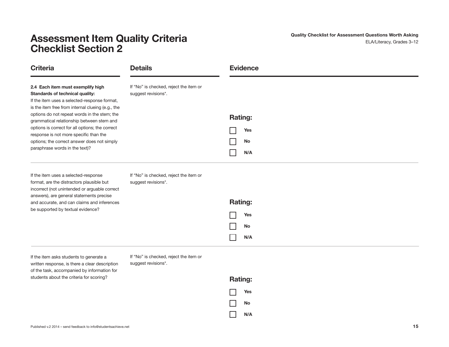**Quality Checklist for Assessment Questions Worth Asking** ELA/Literacy, Grades 3–12

| <b>Criteria</b>                                                                                                                                                                                                                                                                                                                                                                                                                                      | <b>Details</b>                                                | <b>Evidence</b>                           |
|------------------------------------------------------------------------------------------------------------------------------------------------------------------------------------------------------------------------------------------------------------------------------------------------------------------------------------------------------------------------------------------------------------------------------------------------------|---------------------------------------------------------------|-------------------------------------------|
| 2.4 Each item must exemplify high<br>Standards of technical quality:<br>If the item uses a selected-response format,<br>is the item free from internal clueing (e.g., the<br>options do not repeat words in the stem; the<br>grammatical relationship between stem and<br>options is correct for all options; the correct<br>response is not more specific than the<br>options; the correct answer does not simply<br>paraphrase words in the text)? | If "No" is checked, reject the item or<br>suggest revisions*. | <b>Rating:</b><br>Yes<br>No<br>N/A        |
| If the item uses a selected-response<br>format, are the distractors plausible but<br>incorrect (not unintended or arguable correct<br>answers), are general statements precise<br>and accurate, and can claims and inferences<br>be supported by textual evidence?                                                                                                                                                                                   | If "No" is checked, reject the item or<br>suggest revisions*. | <b>Rating:</b><br>Yes<br><b>No</b><br>N/A |

If the item asks students to generate a written response, is there a clear description of the task, accompanied by information for students about the criteria for scoring?

If "No" is checked, reject the item or suggest revisions\*.

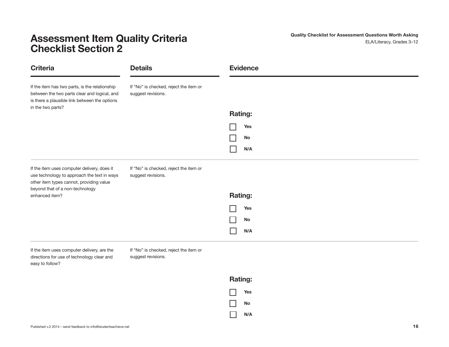**Quality Checklist for Assessment Questions Worth Asking** ELA/Literacy, Grades 3–12

| <b>Criteria</b>                                                                                                                                                      | <b>Details</b>                                               | <b>Evidence</b> |
|----------------------------------------------------------------------------------------------------------------------------------------------------------------------|--------------------------------------------------------------|-----------------|
| If the item has two parts, is the relationship<br>between the two parts clear and logical, and<br>is there a plausible link between the options<br>in the two parts? | If "No" is checked, reject the item or<br>suggest revisions. |                 |
|                                                                                                                                                                      |                                                              | <b>Rating:</b>  |
|                                                                                                                                                                      |                                                              | Yes             |
|                                                                                                                                                                      |                                                              | No              |
|                                                                                                                                                                      |                                                              | N/A             |
| If the item uses computer delivery, does it<br>use technology to approach the text in ways<br>other item types cannot, providing value                               | If "No" is checked, reject the item or<br>suggest revisions. |                 |
| beyond that of a non-technology<br>enhanced item?                                                                                                                    |                                                              | Rating:         |
|                                                                                                                                                                      |                                                              | <b>Yes</b>      |
|                                                                                                                                                                      |                                                              | No              |
|                                                                                                                                                                      |                                                              | N/A             |
| If the item uses computer delivery, are the<br>directions for use of technology clear and<br>easy to follow?                                                         | If "No" is checked, reject the item or<br>suggest revisions. |                 |

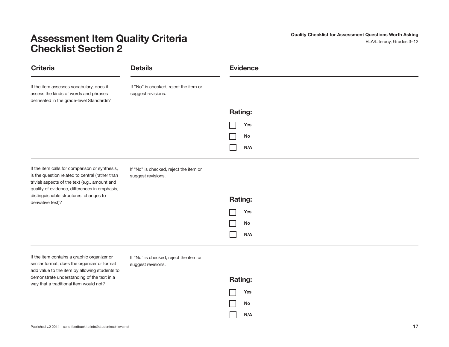**Quality Checklist for Assessment Questions Worth Asking** ELA/Literacy, Grades 3–12

| <b>Criteria</b>                                                                                                                                                                                      | <b>Details</b>                                               | <b>Evidence</b> |
|------------------------------------------------------------------------------------------------------------------------------------------------------------------------------------------------------|--------------------------------------------------------------|-----------------|
| If the item assesses vocabulary, does it<br>assess the kinds of words and phrases<br>delineated in the grade-level Standards?                                                                        | If "No" is checked, reject the item or<br>suggest revisions. |                 |
|                                                                                                                                                                                                      |                                                              | <b>Rating:</b>  |
|                                                                                                                                                                                                      |                                                              | Yes             |
|                                                                                                                                                                                                      |                                                              | No              |
|                                                                                                                                                                                                      |                                                              | N/A             |
| If the item calls for comparison or synthesis,<br>is the question related to central (rather than<br>trivial) aspects of the text (e.g., amount and<br>quality of evidence, differences in emphasis, | If "No" is checked, reject the item or<br>suggest revisions. |                 |
| distinguishable structures, changes to<br>derivative text)?                                                                                                                                          |                                                              | Rating:         |
|                                                                                                                                                                                                      |                                                              | Yes             |
|                                                                                                                                                                                                      |                                                              | No              |
|                                                                                                                                                                                                      |                                                              | N/A             |
|                                                                                                                                                                                                      |                                                              |                 |

If the item contains a graphic organizer or similar format, does the organizer or format add value to the item by allowing students to demonstrate understanding of the text in a way that a traditional item would not?

If "No" is checked, reject the item or suggest revisions.

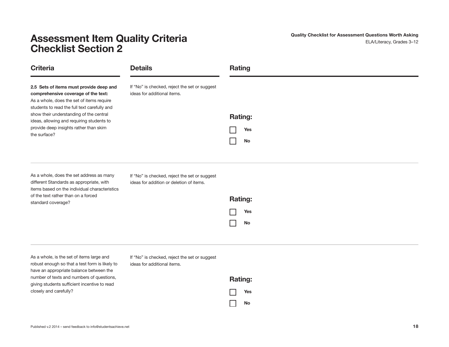**Quality Checklist for Assessment Questions Worth Asking** ELA/Literacy, Grades 3–12

| <b>Criteria</b>                                                                                                                                                                                    | <b>Details</b>                                                                            | <b>Rating</b>               |
|----------------------------------------------------------------------------------------------------------------------------------------------------------------------------------------------------|-------------------------------------------------------------------------------------------|-----------------------------|
| 2.5 Sets of items must provide deep and<br>comprehensive coverage of the text:<br>As a whole, does the set of items require<br>students to read the full text carefully and                        | If "No" is checked, reject the set or suggest<br>ideas for additional items.              |                             |
| show their understanding of the central<br>ideas, allowing and requiring students to                                                                                                               |                                                                                           | <b>Rating:</b>              |
| provide deep insights rather than skim<br>the surface?                                                                                                                                             |                                                                                           | Yes                         |
|                                                                                                                                                                                                    |                                                                                           | <b>No</b>                   |
| As a whole, does the set address as many<br>different Standards as appropriate, with<br>items based on the individual characteristics<br>of the text rather than on a forced<br>standard coverage? | If "No" is checked, reject the set or suggest<br>ideas for addition or deletion of items. | <b>Rating:</b><br>Yes<br>No |

As a whole, is the set of items large and robust enough so that a test form is likely to have an appropriate balance between the number of texts and numbers of questions, giving students sufficient incentive to read closely and carefully?

If "No" is checked, reject the set or suggest ideas for additional items.

| <b>Rating:</b> |     |
|----------------|-----|
|                | Yes |
|                | No  |